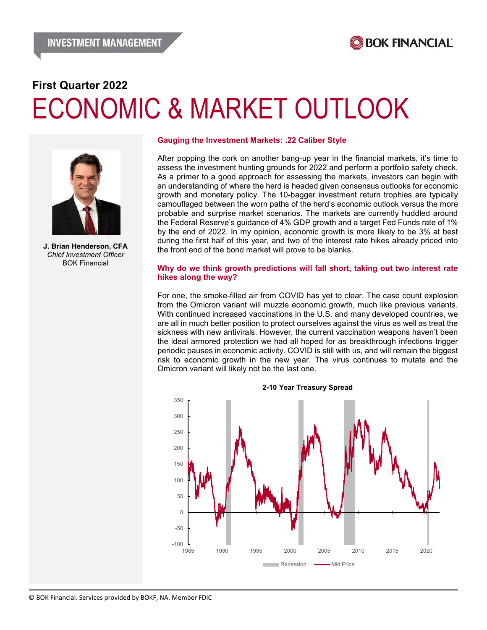

# **First Quarter 2022** ECONOMIC & MARKET OUTLOOK



**J. Brian Henderson, CFA** *Chief Investment Officer* BOK Financial

#### **Gauging the Investment Markets: .22 Caliber Style**

After popping the cork on another bang-up year in the financial markets, it's time to assess the investment hunting grounds for 2022 and perform a portfolio safety check. As a primer to a good approach for assessing the markets, investors can begin with an understanding of where the herd is headed given consensus outlooks for economic growth and monetary policy. The 10-bagger investment return trophies are typically camouflaged between the worn paths of the herd's economic outlook versus the more probable and surprise market scenarios. The markets are currently huddled around the Federal Reserve's guidance of 4% GDP growth and a target Fed Funds rate of 1% by the end of 2022. In my opinion, economic growth is more likely to be 3% at best during the first half of this year, and two of the interest rate hikes already priced into the front end of the bond market will prove to be blanks.

#### **Why do we think growth predictions will fall short, taking out two interest rate hikes along the way?**

For one, the smoke-filled air from COVID has yet to clear. The case count explosion from the Omicron variant will muzzle economic growth, much like previous variants. With continued increased vaccinations in the U.S. and many developed countries, we are all in much better position to protect ourselves against the virus as well as treat the sickness with new antivirals. However, the current vaccination weapons haven't been the ideal armored protection we had all hoped for as breakthrough infections trigger periodic pauses in economic activity. COVID is still with us, and will remain the biggest risk to economic growth in the new year. The virus continues to mutate and the Omicron variant will likely not be the last one.



#### **2-10 Year Treasury Spread**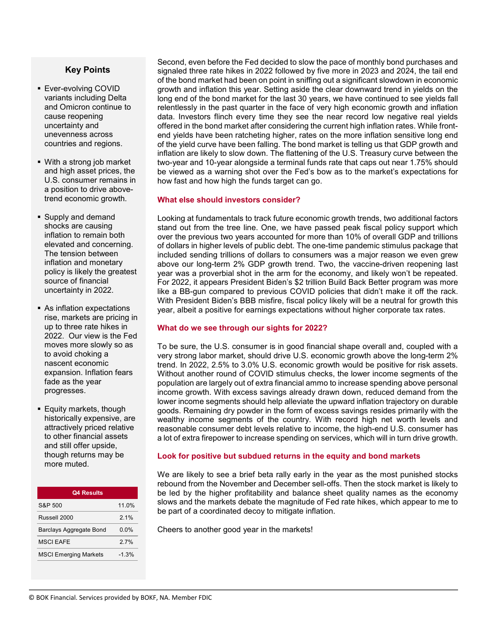# **Key Points**

- **Ever-evolving COVID** variants including Delta and Omicron continue to cause reopening uncertainty and unevenness across countries and regions.
- With a strong job market and high asset prices, the U.S. consumer remains in a position to drive abovetrend economic growth.
- Supply and demand shocks are causing inflation to remain both elevated and concerning. The tension between inflation and monetary policy is likely the greatest source of financial uncertainty in 2022.
- As inflation expectations rise, markets are pricing in up to three rate hikes in 2022. Our view is the Fed moves more slowly so as to avoid choking a nascent economic expansion. Inflation fears fade as the year progresses.
- **Equity markets, though** historically expensive, are attractively priced relative to other financial assets and still offer upside, though returns may be more muted.

| <b>Q4 Results</b>              |         |
|--------------------------------|---------|
| S&P 500                        | 11 0%   |
| Russell 2000                   | 21%     |
| <b>Barclays Aggregate Bond</b> | 0. በ%   |
| <b>MSCI FAFF</b>               | 27%     |
| <b>MSCI Emerging Markets</b>   | $-1.3%$ |
|                                |         |

Second, even before the Fed decided to slow the pace of monthly bond purchases and signaled three rate hikes in 2022 followed by five more in 2023 and 2024, the tail end of the bond market had been on point in sniffing out a significant slowdown in economic growth and inflation this year. Setting aside the clear downward trend in yields on the long end of the bond market for the last 30 years, we have continued to see yields fall relentlessly in the past quarter in the face of very high economic growth and inflation data. Investors flinch every time they see the near record low negative real yields offered in the bond market after considering the current high inflation rates. While frontend yields have been ratcheting higher, rates on the more inflation sensitive long end of the yield curve have been falling. The bond market is telling us that GDP growth and inflation are likely to slow down. The flattening of the U.S. Treasury curve between the two-year and 10-year alongside a terminal funds rate that caps out near 1.75% should be viewed as a warning shot over the Fed's bow as to the market's expectations for how fast and how high the funds target can go.

# **What else should investors consider?**

Looking at fundamentals to track future economic growth trends, two additional factors stand out from the tree line. One, we have passed peak fiscal policy support which over the previous two years accounted for more than 10% of overall GDP and trillions of dollars in higher levels of public debt. The one-time pandemic stimulus package that included sending trillions of dollars to consumers was a major reason we even grew above our long-term 2% GDP growth trend. Two, the vaccine-driven reopening last year was a proverbial shot in the arm for the economy, and likely won't be repeated. For 2022, it appears President Biden's \$2 trillion Build Back Better program was more like a BB-gun compared to previous COVID policies that didn't make it off the rack. With President Biden's BBB misfire, fiscal policy likely will be a neutral for growth this year, albeit a positive for earnings expectations without higher corporate tax rates.

# **What do we see through our sights for 2022?**

To be sure, the U.S. consumer is in good financial shape overall and, coupled with a very strong labor market, should drive U.S. economic growth above the long-term 2% trend. In 2022, 2.5% to 3.0% U.S. economic growth would be positive for risk assets. Without another round of COVID stimulus checks, the lower income segments of the population are largely out of extra financial ammo to increase spending above personal income growth. With excess savings already drawn down, reduced demand from the lower income segments should help alleviate the upward inflation trajectory on durable goods. Remaining dry powder in the form of excess savings resides primarily with the wealthy income segments of the country. With record high net worth levels and reasonable consumer debt levels relative to income, the high-end U.S. consumer has a lot of extra firepower to increase spending on services, which will in turn drive growth.

# **Look for positive but subdued returns in the equity and bond markets**

We are likely to see a brief beta rally early in the year as the most punished stocks rebound from the November and December sell-offs. Then the stock market is likely to be led by the higher profitability and balance sheet quality names as the economy slows and the markets debate the magnitude of Fed rate hikes, which appear to me to be part of a coordinated decoy to mitigate inflation.

Cheers to another good year in the markets!